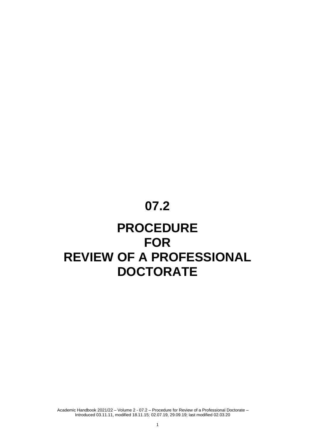# **07.2**

## **PROCEDURE FOR REVIEW OF A PROFESSIONAL DOCTORATE**

Academic Handbook 2021/22 – Volume 2 - 07.2 – Procedure for Review of a Professional Doctorate – Introduced 03.11.11, modified 18.11.15; 02.07.19, 29.09.19; last modified 02.03.20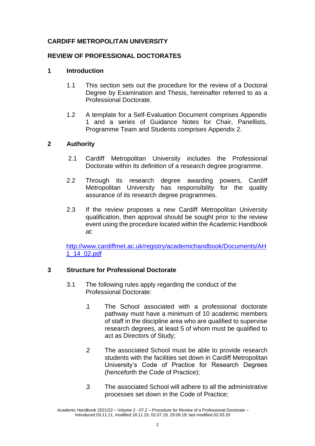## **CARDIFF METROPOLITAN UNIVERSITY**

## **REVIEW OF PROFESSIONAL DOCTORATES**

## **1 Introduction**

- 1.1 This section sets out the procedure for the review of a Doctoral Degree by Examination and Thesis, hereinafter referred to as a Professional Doctorate.
- 1.2 A template for a Self-Evaluation Document comprises Appendix 1 and a series of Guidance Notes for Chair, Panellists, Programme Team and Students comprises Appendix 2.

## **2 Authority**

- 2.1 Cardiff Metropolitan University includes the Professional Doctorate within its definition of a research degree programme.
- 2.2 Through its research degree awarding powers, Cardiff Metropolitan University has responsibility for the quality assurance of its research degree programmes.
- 2.3 If the review proposes a new Cardiff Metropolitan University qualification, then approval should be sought prior to the review event using the procedure located within the Academic Handbook at:

[http://www.cardiffmet.ac.uk/registry/academichandbook/Documents/AH](http://www.cardiffmet.ac.uk/registry/academichandbook/Documents/AH1_14_02.pdf) [1\\_14\\_02.pdf](http://www.cardiffmet.ac.uk/registry/academichandbook/Documents/AH1_14_02.pdf)

#### **3 Structure for Professional Doctorate**

- 3.1 The following rules apply regarding the conduct of the Professional Doctorate:
	- .1 The School associated with a professional doctorate pathway must have a minimum of 10 academic members of staff in the discipline area who are qualified to supervise research degrees, at least 5 of whom must be qualified to act as Directors of Study;
	- .2 The associated School must be able to provide research students with the facilities set down in Cardiff Metropolitan University's Code of Practice for Research Degrees (henceforth the Code of Practice);
	- .3 The associated School will adhere to all the administrative processes set down in the Code of Practice;

Academic Handbook 2021/22 – Volume 2 - 07.2 – Procedure for Review of a Professional Doctorate – Introduced 03.11.11, modified 18.11.15; 02.07.19, 29.09.19; last modified 02.03.20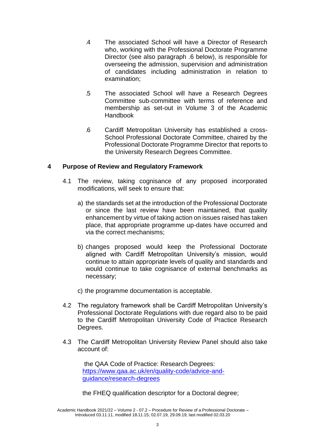- .4 The associated School will have a Director of Research who, working with the Professional Doctorate Programme Director (see also paragraph .6 below), is responsible for overseeing the admission, supervision and administration of candidates including administration in relation to examination;
- .5 The associated School will have a Research Degrees Committee sub-committee with terms of reference and membership as set-out in Volume 3 of the Academic **Handbook**
- .6 Cardiff Metropolitan University has established a cross-School Professional Doctorate Committee, chaired by the Professional Doctorate Programme Director that reports to the University Research Degrees Committee.

## **4 Purpose of Review and Regulatory Framework**

- 4.1 The review, taking cognisance of any proposed incorporated modifications, will seek to ensure that:
	- a) the standards set at the introduction of the Professional Doctorate or since the last review have been maintained, that quality enhancement by virtue of taking action on issues raised has taken place, that appropriate programme up-dates have occurred and via the correct mechanisms;
	- b) changes proposed would keep the Professional Doctorate aligned with Cardiff Metropolitan University's mission, would continue to attain appropriate levels of quality and standards and would continue to take cognisance of external benchmarks as necessary;
	- c) the programme documentation is acceptable.
- 4.2 The regulatory framework shall be Cardiff Metropolitan University's Professional Doctorate Regulations with due regard also to be paid to the Cardiff Metropolitan University Code of Practice Research Degrees.
- 4.3 The Cardiff Metropolitan University Review Panel should also take account of:

the QAA Code of Practice: Research Degrees: [https://www.qaa.ac.uk/en/quality-code/advice-and](https://www.qaa.ac.uk/en/quality-code/advice-and-)[guidance/research-degrees](https://www.qaa.ac.uk/en/quality-code/advice-and-guidance/research-degrees)

the FHEQ qualification descriptor for a Doctoral degree;

Academic Handbook 2021/22 – Volume 2 - 07.2 – Procedure for Review of a Professional Doctorate – Introduced 03.11.11, modified 18.11.15; 02.07.19, 29.09.19; last modified 02.03.20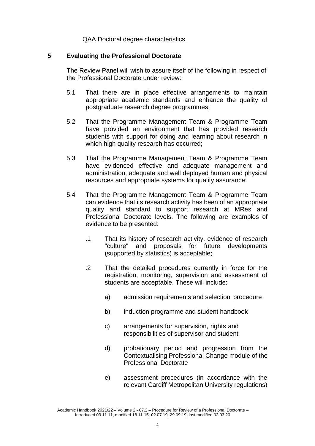QAA Doctoral degree characteristics.

#### **5 Evaluating the Professional Doctorate**

The Review Panel will wish to assure itself of the following in respect of the Professional Doctorate under review:

- 5.1 That there are in place effective arrangements to maintain appropriate academic standards and enhance the quality of postgraduate research degree programmes;
- 5.2 That the Programme Management Team & Programme Team have provided an environment that has provided research students with support for doing and learning about research in which high quality research has occurred;
- 5.3 That the Programme Management Team & Programme Team have evidenced effective and adequate management and administration, adequate and well deployed human and physical resources and appropriate systems for quality assurance;
- 5.4 That the Programme Management Team & Programme Team can evidence that its research activity has been of an appropriate quality and standard to support research at MRes and Professional Doctorate levels. The following are examples of evidence to be presented:
	- .1 That its history of research activity, evidence of research "culture" and proposals for future developments (supported by statistics) is acceptable;
	- .2 That the detailed procedures currently in force for the registration, monitoring, supervision and assessment of students are acceptable. These will include:
		- a) admission requirements and selection procedure
		- b) induction programme and student handbook
		- c) arrangements for supervision, rights and responsibilities of supervisor and student
		- d) probationary period and progression from the Contextualising Professional Change module of the Professional Doctorate
		- e) assessment procedures (in accordance with the relevant Cardiff Metropolitan University regulations)

Academic Handbook 2021/22 – Volume 2 - 07.2 – Procedure for Review of a Professional Doctorate – Introduced 03.11.11, modified 18.11.15; 02.07.19, 29.09.19; last modified 02.03.20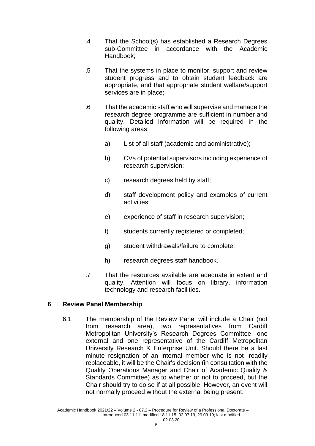- .4 That the School(s) has established a Research Degrees sub-Committee in accordance with the Academic Handbook;
- .5 That the systems in place to monitor, support and review student progress and to obtain student feedback are appropriate, and that appropriate student welfare/support services are in place;
- .6 That the academic staff who will supervise and manage the research degree programme are sufficient in number and quality. Detailed information will be required in the following areas:
	- a) List of all staff (academic and administrative);
	- b) CVs of potential supervisors including experience of research supervision;
	- c) research degrees held by staff;
	- d) staff development policy and examples of current activities;
	- e) experience of staff in research supervision;
	- f) students currently registered or completed;
	- g) student withdrawals/failure to complete;
	- h) research degrees staff handbook.
- .7 That the resources available are adequate in extent and quality. Attention will focus on library, information technology and research facilities.

## **6 Review Panel Membership**

6.1 The membership of the Review Panel will include a Chair (not from research area), two representatives from Cardiff Metropolitan University's Research Degrees Committee, one external and one representative of the Cardiff Metropolitan University Research & Enterprise Unit. Should there be a last minute resignation of an internal member who is not readily replaceable, it will be the Chair's decision (in consultation with the Quality Operations Manager and Chair of Academic Quality & Standards Committee) as to whether or not to proceed, but the Chair should try to do so if at all possible. However, an event will not normally proceed without the external being present.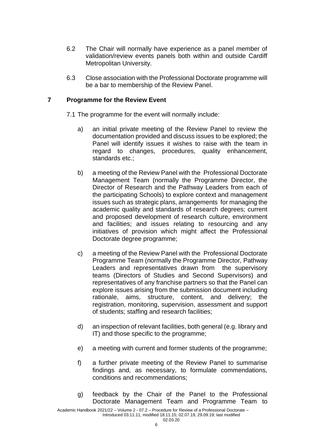- 6.2 The Chair will normally have experience as a panel member of validation/review events panels both within and outside Cardiff Metropolitan University.
- 6.3 Close association with the Professional Doctorate programme will be a bar to membership of the Review Panel.

## **7 Programme for the Review Event**

- 7.1 The programme for the event will normally include:
	- a) an initial private meeting of the Review Panel to review the documentation provided and discuss issues to be explored; the Panel will identify issues it wishes to raise with the team in regard to changes, procedures, quality enhancement, standards etc.;
	- b) a meeting of the Review Panel with the Professional Doctorate Management Team (normally the Programme Director, the Director of Research and the Pathway Leaders from each of the participating Schools) to explore context and management issues such as strategic plans, arrangements for managing the academic quality and standards of research degrees; current and proposed development of research culture, environment and facilities; and issues relating to resourcing and any initiatives of provision which might affect the Professional Doctorate degree programme;
	- c) a meeting of the Review Panel with the Professional Doctorate Programme Team (normally the Programme Director, Pathway Leaders and representatives drawn from the supervisory teams (Directors of Studies and Second Supervisors) and representatives of any franchise partners so that the Panel can explore issues arising from the submission document including rationale, aims, structure, content, and delivery; the registration, monitoring, supervision, assessment and support of students; staffing and research facilities;
	- d) an inspection of relevant facilities, both general (e.g. library and IT) and those specific to the programme;
	- e) a meeting with current and former students of the programme;
	- f) a further private meeting of the Review Panel to summarise findings and, as necessary, to formulate commendations, conditions and recommendations;
	- g) feedback by the Chair of the Panel to the Professional Doctorate Management Team and Programme Team to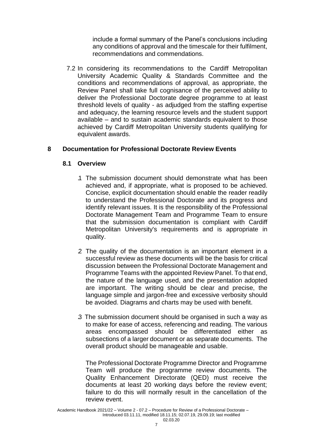include a formal summary of the Panel's conclusions including any conditions of approval and the timescale for their fulfilment, recommendations and commendations.

7.2 In considering its recommendations to the Cardiff Metropolitan University Academic Quality & Standards Committee and the conditions and recommendations of approval, as appropriate, the Review Panel shall take full cognisance of the perceived ability to deliver the Professional Doctorate degree programme to at least threshold levels of quality - as adjudged from the staffing expertise and adequacy, the learning resource levels and the student support available – and to sustain academic standards equivalent to those achieved by Cardiff Metropolitan University students qualifying for equivalent awards.

## **8 Documentation for Professional Doctorate Review Events**

#### **8.1 Overview**

- .1 The submission document should demonstrate what has been achieved and, if appropriate, what is proposed to be achieved. Concise, explicit documentation should enable the reader readily to understand the Professional Doctorate and its progress and identify relevant issues. It is the responsibility of the Professional Doctorate Management Team and Programme Team to ensure that the submission documentation is compliant with Cardiff Metropolitan University's requirements and is appropriate in quality.
- .2 The quality of the documentation is an important element in a successful review as these documents will be the basis for critical discussion between the Professional Doctorate Management and Programme Teams with the appointed Review Panel. To that end, the nature of the language used, and the presentation adopted are important. The writing should be clear and precise, the language simple and jargon-free and excessive verbosity should be avoided. Diagrams and charts may be used with benefit.
- .3 The submission document should be organised in such a way as to make for ease of access, referencing and reading. The various areas encompassed should be differentiated either as subsections of a larger document or as separate documents. The overall product should be manageable and usable.

The Professional Doctorate Programme Director and Programme Team will produce the programme review documents. The Quality Enhancement Directorate (QED) must receive the documents at least 20 working days before the review event; failure to do this will normally result in the cancellation of the review event.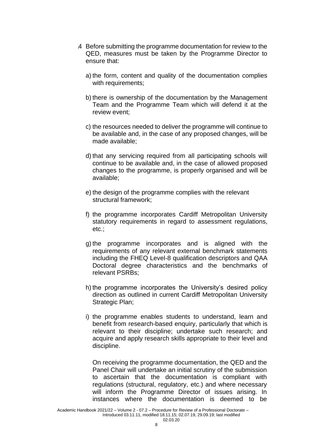- .4 Before submitting the programme documentation for review to the QED, measures must be taken by the Programme Director to ensure that:
	- a) the form, content and quality of the documentation complies with requirements;
	- b) there is ownership of the documentation by the Management Team and the Programme Team which will defend it at the review event;
	- c) the resources needed to deliver the programme will continue to be available and, in the case of any proposed changes, will be made available;
	- d) that any servicing required from all participating schools will continue to be available and, in the case of allowed proposed changes to the programme, is properly organised and will be available;
	- e) the design of the programme complies with the relevant structural framework;
	- f) the programme incorporates Cardiff Metropolitan University statutory requirements in regard to assessment regulations, etc.;
	- g) the programme incorporates and is aligned with the requirements of any relevant external benchmark statements including the FHEQ Level-8 qualification descriptors and QAA Doctoral degree characteristics and the benchmarks of relevant PSRBs;
	- h) the programme incorporates the University's desired policy direction as outlined in current Cardiff Metropolitan University Strategic Plan;
	- i) the programme enables students to understand, learn and benefit from research-based enquiry, particularly that which is relevant to their discipline; undertake such research; and acquire and apply research skills appropriate to their level and discipline.

On receiving the programme documentation, the QED and the Panel Chair will undertake an initial scrutiny of the submission to ascertain that the documentation is compliant with regulations (structural, regulatory, etc.) and where necessary will inform the Programme Director of issues arising. In instances where the documentation is deemed to be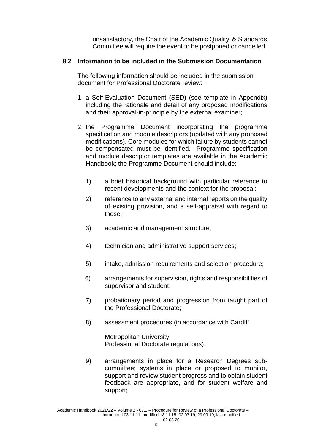unsatisfactory, the Chair of the Academic Quality & Standards Committee will require the event to be postponed or cancelled.

## **8.2 Information to be included in the Submission Documentation**

The following information should be included in the submission document for Professional Doctorate review:

- 1. a Self-Evaluation Document (SED) (see template in Appendix) including the rationale and detail of any proposed modifications and their approval-in-principle by the external examiner;
- 2. the Programme Document incorporating the programme specification and module descriptors (updated with any proposed modifications). Core modules for which failure by students cannot be compensated must be identified. Programme specification and module descriptor templates are available in the Academic Handbook; the Programme Document should include:
	- 1) a brief historical background with particular reference to recent developments and the context for the proposal;
	- 2) reference to any external and internal reports on the quality of existing provision, and a self-appraisal with regard to these;
	- 3) academic and management structure;
	- 4) technician and administrative support services;
	- 5) intake, admission requirements and selection procedure;
	- 6) arrangements for supervision, rights and responsibilities of supervisor and student;
	- 7) probationary period and progression from taught part of the Professional Doctorate;
	- 8) assessment procedures (in accordance with Cardiff

Metropolitan University Professional Doctorate regulations);

9) arrangements in place for a Research Degrees subcommittee; systems in place or proposed to monitor, support and review student progress and to obtain student feedback are appropriate, and for student welfare and support;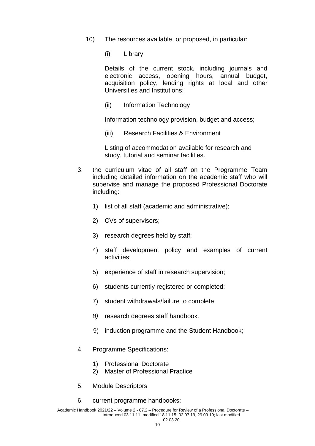- 10) The resources available, or proposed, in particular:
	- (i) Library

Details of the current stock, including journals and electronic access, opening hours, annual budget, acquisition policy, lending rights at local and other Universities and Institutions;

(ii) Information Technology

Information technology provision, budget and access;

(iii) Research Facilities & Environment

Listing of accommodation available for research and study, tutorial and seminar facilities.

- 3. the curriculum vitae of all staff on the Programme Team including detailed information on the academic staff who will supervise and manage the proposed Professional Doctorate including:
	- 1) list of all staff (academic and administrative);
	- 2) CVs of supervisors;
	- 3) research degrees held by staff;
	- 4) staff development policy and examples of current activities;
	- 5) experience of staff in research supervision;
	- 6) students currently registered or completed;
	- 7) student withdrawals/failure to complete;
	- *8)* research degrees staff handbook*.*
	- 9) induction programme and the Student Handbook;
- 4. Programme Specifications:
	- 1) Professional Doctorate
	- 2) Master of Professional Practice
- 5. Module Descriptors
- 6. current programme handbooks;

Academic Handbook 2021/22 – Volume 2 - 07.2 – Procedure for Review of a Professional Doctorate – Introduced 03.11.11, modified 18.11.15; 02.07.19, 29.09.19; last modified 02.03.20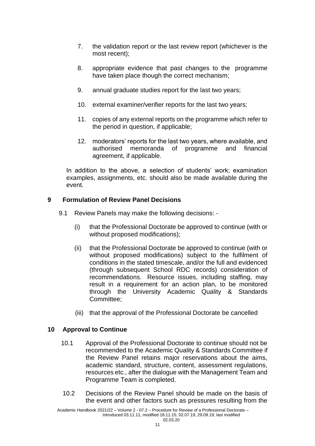- 7. the validation report or the last review report (whichever is the most recent);
- 8. appropriate evidence that past changes to the programme have taken place though the correct mechanism;
- 9. annual graduate studies report for the last two years;
- 10. external examiner/verifier reports for the last two years;
- 11. copies of any external reports on the programme which refer to the period in question, if applicable;
- 12. moderators' reports for the last two years, where available, and authorised memoranda of programme and financial agreement, if applicable.

In addition to the above, a selection of students' work; examination examples, assignments, etc. should also be made available during the event.

## **9 Formulation of Review Panel Decisions**

- 9.1 Review Panels may make the following decisions:
	- (i) that the Professional Doctorate be approved to continue (with or without proposed modifications);
	- (ii) that the Professional Doctorate be approved to continue (with or without proposed modifications) subject to the fulfilment of conditions in the stated timescale, and/or the full and evidenced (through subsequent School RDC records) consideration of recommendations. Resource issues, including staffing, may result in a requirement for an action plan, to be monitored through the University Academic Quality & Standards Committee;
	- (iii) that the approval of the Professional Doctorate be cancelled

#### **10 Approval to Continue**

- 10.1 Approval of the Professional Doctorate to continue should not be recommended to the Academic Quality & Standards Committee if the Review Panel retains major reservations about the aims, academic standard, structure, content, assessment regulations, resources etc., after the dialogue with the Management Team and Programme Team is completed.
- 10.2 Decisions of the Review Panel should be made on the basis of the event and other factors such as pressures resulting from the

Academic Handbook 2021/22 – Volume 2 - 07.2 – Procedure for Review of a Professional Doctorate – Introduced 03.11.11, modified 18.11.15; 02.07.19, 29.09.19; last modified 02.03.20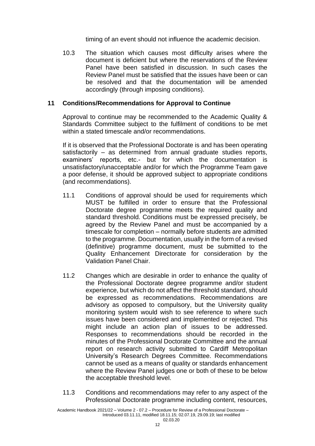timing of an event should not influence the academic decision.

10.3 The situation which causes most difficulty arises where the document is deficient but where the reservations of the Review Panel have been satisfied in discussion. In such cases the Review Panel must be satisfied that the issues have been or can be resolved and that the documentation will be amended accordingly (through imposing conditions).

#### **11 Conditions/Recommendations for Approval to Continue**

Approval to continue may be recommended to the Academic Quality & Standards Committee subject to the fulfilment of conditions to be met within a stated timescale and/or recommendations.

If it is observed that the Professional Doctorate is and has been operating satisfactorily – as determined from annual graduate studies reports, examiners' reports, etc.- but for which the documentation is unsatisfactory/unacceptable and/or for which the Programme Team gave a poor defense, it should be approved subject to appropriate conditions (and recommendations).

- 11.1 Conditions of approval should be used for requirements which MUST be fulfilled in order to ensure that the Professional Doctorate degree programme meets the required quality and standard threshold. Conditions must be expressed precisely, be agreed by the Review Panel and must be accompanied by a timescale for completion – normally before students are admitted to the programme. Documentation, usually in the form of a revised (definitive) programme document, must be submitted to the Quality Enhancement Directorate for consideration by the Validation Panel Chair.
- 11.2 Changes which are desirable in order to enhance the quality of the Professional Doctorate degree programme and/or student experience, but which do not affect the threshold standard, should be expressed as recommendations. Recommendations are advisory as opposed to compulsory, but the University quality monitoring system would wish to see reference to where such issues have been considered and implemented or rejected. This might include an action plan of issues to be addressed. Responses to recommendations should be recorded in the minutes of the Professional Doctorate Committee and the annual report on research activity submitted to Cardiff Metropolitan University's Research Degrees Committee. Recommendations cannot be used as a means of quality or standards enhancement where the Review Panel judges one or both of these to be below the acceptable threshold level.
- 11.3 Conditions and recommendations may refer to any aspect of the Professional Doctorate programme including content, resources,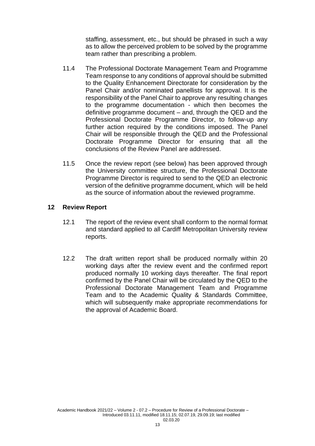staffing, assessment, etc., but should be phrased in such a way as to allow the perceived problem to be solved by the programme team rather than prescribing a problem.

- 11.4 The Professional Doctorate Management Team and Programme Team response to any conditions of approval should be submitted to the Quality Enhancement Directorate for consideration by the Panel Chair and/or nominated panellists for approval. It is the responsibility of the Panel Chair to approve any resulting changes to the programme documentation - which then becomes the definitive programme document – and, through the QED and the Professional Doctorate Programme Director, to follow-up any further action required by the conditions imposed. The Panel Chair will be responsible through the QED and the Professional Doctorate Programme Director for ensuring that all the conclusions of the Review Panel are addressed.
- 11.5 Once the review report (see below) has been approved through the University committee structure, the Professional Doctorate Programme Director is required to send to the QED an electronic version of the definitive programme document, which will be held as the source of information about the reviewed programme.

#### **12 Review Report**

- 12.1 The report of the review event shall conform to the normal format and standard applied to all Cardiff Metropolitan University review reports.
- 12.2 The draft written report shall be produced normally within 20 working days after the review event and the confirmed report produced normally 10 working days thereafter. The final report confirmed by the Panel Chair will be circulated by the QED to the Professional Doctorate Management Team and Programme Team and to the Academic Quality & Standards Committee, which will subsequently make appropriate recommendations for the approval of Academic Board.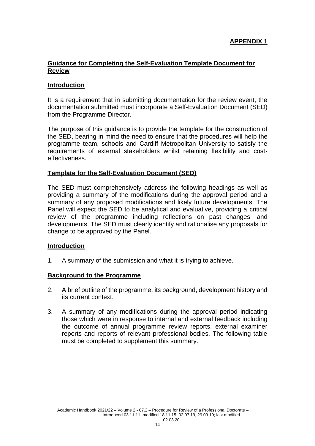## **Guidance for Completing the Self-Evaluation Template Document for Review**

## **Introduction**

It is a requirement that in submitting documentation for the review event, the documentation submitted must incorporate a Self-Evaluation Document (SED) from the Programme Director.

The purpose of this guidance is to provide the template for the construction of the SED, bearing in mind the need to ensure that the procedures will help the programme team, schools and Cardiff Metropolitan University to satisfy the requirements of external stakeholders whilst retaining flexibility and costeffectiveness.

#### **Template for the Self-Evaluation Document (SED)**

The SED must comprehensively address the following headings as well as providing a summary of the modifications during the approval period and a summary of any proposed modifications and likely future developments. The Panel will expect the SED to be analytical and evaluative, providing a critical review of the programme including reflections on past changes and developments. The SED must clearly identify and rationalise any proposals for change to be approved by the Panel.

#### **Introduction**

1. A summary of the submission and what it is trying to achieve.

#### **Background to the Programme**

- 2. A brief outline of the programme, its background, development history and its current context.
- 3. A summary of any modifications during the approval period indicating those which were in response to internal and external feedback including the outcome of annual programme review reports, external examiner reports and reports of relevant professional bodies. The following table must be completed to supplement this summary.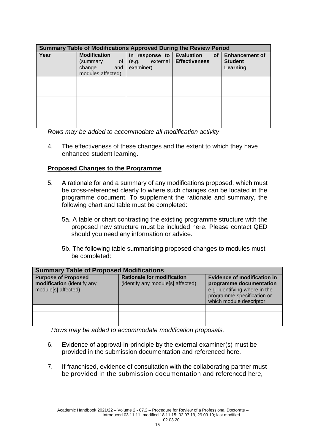| <b>Summary Table of Modifications Approved During the Review Period</b> |                                                                             |                                                  |                                                              |                                                     |  |
|-------------------------------------------------------------------------|-----------------------------------------------------------------------------|--------------------------------------------------|--------------------------------------------------------------|-----------------------------------------------------|--|
| Year                                                                    | <b>Modification</b><br>0f<br>(summary<br>change<br>and<br>modules affected) | In response to<br>external<br>(e.g.<br>examiner) | <b>Evaluation</b><br>of <sub>1</sub><br><b>Effectiveness</b> | <b>Enhancement of</b><br><b>Student</b><br>Learning |  |
|                                                                         |                                                                             |                                                  |                                                              |                                                     |  |
|                                                                         |                                                                             |                                                  |                                                              |                                                     |  |
|                                                                         |                                                                             |                                                  |                                                              |                                                     |  |

*Rows may be added to accommodate all modification activity*

4. The effectiveness of these changes and the extent to which they have enhanced student learning.

#### **Proposed Changes to the Programme**

- 5. A rationale for and a summary of any modifications proposed, which must be cross-referenced clearly to where such changes can be located in the programme document. To supplement the rationale and summary, the following chart and table must be completed:
	- 5a. A table or chart contrasting the existing programme structure with the proposed new structure must be included here. Please contact QED should you need any information or advice.
	- 5b. The following table summarising proposed changes to modules must be completed:

| <b>Summary Table of Proposed Modifications</b>                                  |                                                                        |                                                                                                                                                         |  |  |  |
|---------------------------------------------------------------------------------|------------------------------------------------------------------------|---------------------------------------------------------------------------------------------------------------------------------------------------------|--|--|--|
| <b>Purpose of Proposed</b><br>modification (identify any<br>module[s] affected) | <b>Rationale for modification</b><br>(identify any module[s] affected) | <b>Evidence of modification in</b><br>programme documentation<br>e.g. identifying where in the<br>programme specification or<br>which module descriptor |  |  |  |
|                                                                                 |                                                                        |                                                                                                                                                         |  |  |  |
|                                                                                 |                                                                        |                                                                                                                                                         |  |  |  |
|                                                                                 |                                                                        |                                                                                                                                                         |  |  |  |

*Rows may be added to accommodate modification proposals.*

- 6. Evidence of approval-in-principle by the external examiner(s) must be provided in the submission documentation and referenced here.
- 7. If franchised, evidence of consultation with the collaborating partner must be provided in the submission documentation and referenced here,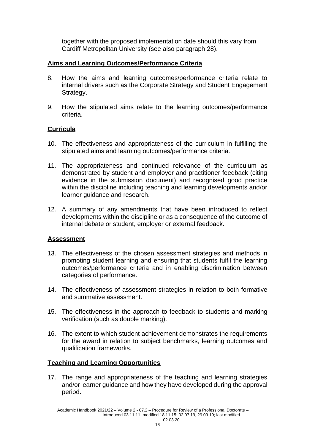together with the proposed implementation date should this vary from Cardiff Metropolitan University (see also paragraph 28).

## **Aims and Learning Outcomes/Performance Criteria**

- 8. How the aims and learning outcomes/performance criteria relate to internal drivers such as the Corporate Strategy and Student Engagement Strategy.
- 9. How the stipulated aims relate to the learning outcomes/performance criteria.

## **Curricula**

- 10. The effectiveness and appropriateness of the curriculum in fulfilling the stipulated aims and learning outcomes/performance criteria.
- 11. The appropriateness and continued relevance of the curriculum as demonstrated by student and employer and practitioner feedback (citing evidence in the submission document) and recognised good practice within the discipline including teaching and learning developments and/or learner guidance and research.
- 12. A summary of any amendments that have been introduced to reflect developments within the discipline or as a consequence of the outcome of internal debate or student, employer or external feedback.

#### **Assessment**

- 13. The effectiveness of the chosen assessment strategies and methods in promoting student learning and ensuring that students fulfil the learning outcomes/performance criteria and in enabling discrimination between categories of performance.
- 14. The effectiveness of assessment strategies in relation to both formative and summative assessment.
- 15. The effectiveness in the approach to feedback to students and marking verification (such as double marking).
- 16. The extent to which student achievement demonstrates the requirements for the award in relation to subject benchmarks, learning outcomes and qualification frameworks.

#### **Teaching and Learning Opportunities**

17. The range and appropriateness of the teaching and learning strategies and/or learner guidance and how they have developed during the approval period.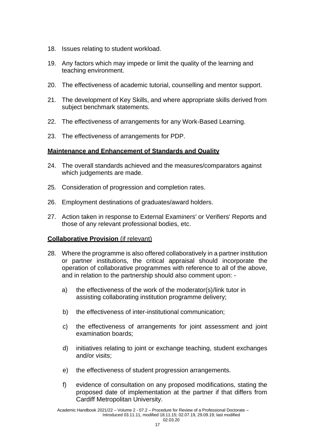- 18. Issues relating to student workload.
- 19. Any factors which may impede or limit the quality of the learning and teaching environment.
- 20. The effectiveness of academic tutorial, counselling and mentor support.
- 21. The development of Key Skills, and where appropriate skills derived from subject benchmark statements.
- 22. The effectiveness of arrangements for any Work-Based Learning.
- 23. The effectiveness of arrangements for PDP.

## **Maintenance and Enhancement of Standards and Quality**

- 24. The overall standards achieved and the measures/comparators against which judgements are made.
- 25. Consideration of progression and completion rates.
- 26. Employment destinations of graduates/award holders.
- 27. Action taken in response to External Examiners' or Verifiers' Reports and those of any relevant professional bodies, etc.

#### **Collaborative Provision** (if relevant)

- 28. Where the programme is also offered collaboratively in a partner institution or partner institutions, the critical appraisal should incorporate the operation of collaborative programmes with reference to all of the above, and in relation to the partnership should also comment upon:
	- a) the effectiveness of the work of the moderator(s)/link tutor in assisting collaborating institution programme delivery;
	- b) the effectiveness of inter-institutional communication;
	- c) the effectiveness of arrangements for joint assessment and joint examination boards;
	- d) initiatives relating to joint or exchange teaching, student exchanges and/or visits;
	- e) the effectiveness of student progression arrangements.
	- f) evidence of consultation on any proposed modifications, stating the proposed date of implementation at the partner if that differs from Cardiff Metropolitan University.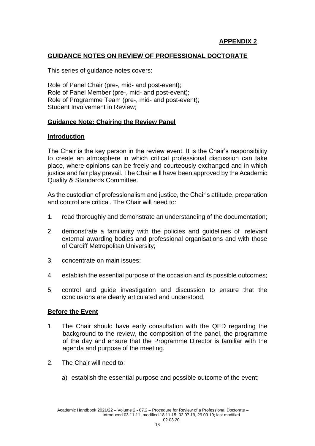## **GUIDANCE NOTES ON REVIEW OF PROFESSIONAL DOCTORATE**

This series of guidance notes covers:

Role of Panel Chair (pre-, mid- and post-event); Role of Panel Member (pre-, mid- and post-event); Role of Programme Team (pre-, mid- and post-event); Student Involvement in Review;

#### **Guidance Note: Chairing the Review Panel**

#### **Introduction**

The Chair is the key person in the review event. It is the Chair's responsibility to create an atmosphere in which critical professional discussion can take place, where opinions can be freely and courteously exchanged and in which justice and fair play prevail. The Chair will have been approved by the Academic Quality & Standards Committee.

As the custodian of professionalism and justice, the Chair's attitude, preparation and control are critical. The Chair will need to:

- 1. read thoroughly and demonstrate an understanding of the documentation;
- 2. demonstrate a familiarity with the policies and guidelines of relevant external awarding bodies and professional organisations and with those of Cardiff Metropolitan University;
- 3. concentrate on main issues;
- 4. establish the essential purpose of the occasion and its possible outcomes;
- 5. control and guide investigation and discussion to ensure that the conclusions are clearly articulated and understood.

#### **Before the Event**

- 1. The Chair should have early consultation with the QED regarding the background to the review, the composition of the panel, the programme of the day and ensure that the Programme Director is familiar with the agenda and purpose of the meeting.
- 2. The Chair will need to:
	- a) establish the essential purpose and possible outcome of the event;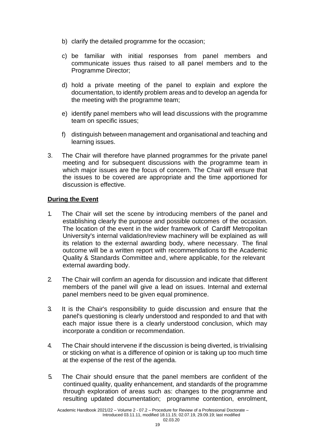- b) clarify the detailed programme for the occasion;
- c) be familiar with initial responses from panel members and communicate issues thus raised to all panel members and to the Programme Director;
- d) hold a private meeting of the panel to explain and explore the documentation, to identify problem areas and to develop an agenda for the meeting with the programme team;
- e) identify panel members who will lead discussions with the programme team on specific issues;
- f) distinguish between management and organisational and teaching and learning issues.
- 3. The Chair will therefore have planned programmes for the private panel meeting and for subsequent discussions with the programme team in which major issues are the focus of concern. The Chair will ensure that the issues to be covered are appropriate and the time apportioned for discussion is effective.

## **During the Event**

- 1. The Chair will set the scene by introducing members of the panel and establishing clearly the purpose and possible outcomes of the occasion. The location of the event in the wider framework of Cardiff Metropolitan University's internal validation/review machinery will be explained as will its relation to the external awarding body, where necessary. The final outcome will be a written report with recommendations to the Academic Quality & Standards Committee and, where applicable, for the relevant external awarding body.
- 2. The Chair will confirm an agenda for discussion and indicate that different members of the panel will give a lead on issues. Internal and external panel members need to be given equal prominence.
- 3. It is the Chair's responsibility to guide discussion and ensure that the panel's questioning is clearly understood and responded to and that with each major issue there is a clearly understood conclusion, which may incorporate a condition or recommendation.
- 4. The Chair should intervene if the discussion is being diverted, is trivialising or sticking on what is a difference of opinion or is taking up too much time at the expense of the rest of the agenda.
- 5. The Chair should ensure that the panel members are confident of the continued quality, quality enhancement, and standards of the programme through exploration of areas such as: changes to the programme and resulting updated documentation; programme contention, enrolment,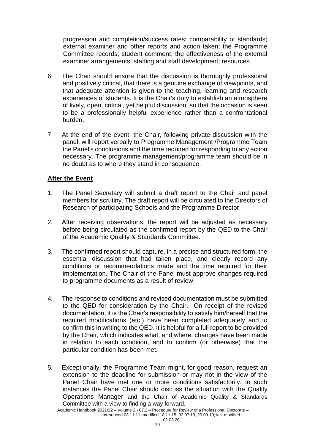progression and completion/success rates; comparability of standards; external examiner and other reports and action taken; the Programme Committee records; student comment; the effectiveness of the external examiner arrangements; staffing and staff development; resources.

- 6. The Chair should ensure that the discussion is thoroughly professional and positively critical, that there is a genuine exchange of viewpoints, and that adequate attention is given to the teaching, learning and research experiences of students. It is the Chair's duty to establish an atmosphere of lively, open, critical, yet helpful discussion, so that the occasion is seen to be a professionally helpful experience rather than a confrontational burden.
- 7. At the end of the event, the Chair, following private discussion with the panel, will report verbally to Programme Management /Programme Team the Panel's conclusions and the time required for responding to any action necessary. The programme management/programme team should be in no doubt as to where they stand in consequence.

## **After the Event**

- 1. The Panel Secretary will submit a draft report to the Chair and panel members for scrutiny. The draft report will be circulated to the Directors of Research of participating Schools and the Programme Director.
- 2. After receiving observations, the report will be adjusted as necessary before being circulated as the confirmed report by the QED to the Chair of the Academic Quality & Standards Committee.
- 3. The confirmed report should capture, in a precise and structured form, the essential discussion that had taken place, and clearly record any conditions or recommendations made and the time required for their implementation. The Chair of the Panel must approve changes required to programme documents as a result of review.
- 4. The response to conditions and revised documentation must be submitted to the QED for consideration by the Chair. On receipt of the revised documentation, it is the Chair's responsibility to satisfy him/herself that the required modifications (etc.) have been completed adequately and to confirm this in writing to the QED. It is helpful for a full report to be provided by the Chair, which indicates what, and where, changes have been made in relation to each condition, and to confirm (or otherwise) that the particular condition has been met.
- 5. Exceptionally, the Programme Team might, for good reason, request an extension to the deadline for submission or may not in the view of the Panel Chair have met one or more conditions satisfactorily. In such instances the Panel Chair should discuss the situation with the Quality Operations Manager and the Chair of Academic Quality & Standards Committee with a view to finding a way forward.

Academic Handbook 2021/22 – Volume 2 - 07.2 – Procedure for Review of a Professional Doctorate –

Introduced 03.11.11, modified 18.11.15; 02.07.19, 29.09.19; last modified 02.03.20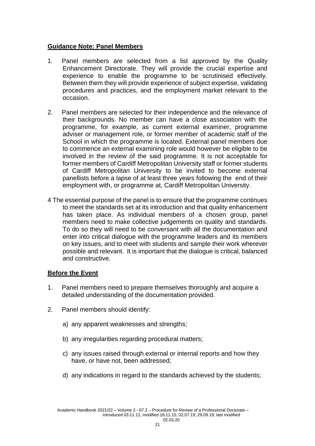#### **Guidance Note: Panel Members**

- 1. Panel members are selected from a list approved by the Quality Enhancement Directorate. They will provide the crucial expertise and experience to enable the programme to be scrutinised effectively. Between them they will provide experience of subject expertise, validating procedures and practices, and the employment market relevant to the occasion.
- 2. Panel members are selected for their independence and the relevance of their backgrounds. No member can have a close association with the programme, for example, as current external examiner, programme adviser or management role, or former member of academic staff of the School in which the programme is located. External panel members due to commence an external examining role would however be eligible to be involved in the review of the said programme. It is not acceptable for former members of Cardiff Metropolitan University staff or former students of Cardiff Metropolitan University to be invited to become external panellists before a lapse of at least three years following the end of their employment with, or programme at, Cardiff Metropolitan University.
- 4 The essential purpose of the panel is to ensure that the programme continues to meet the standards set at its introduction and that quality enhancement has taken place. As individual members of a chosen group, panel members need to make collective judgements on quality and standards. To do so they will need to be conversant with all the documentation and enter into critical dialogue with the programme leaders and its members on key issues, and to meet with students and sample their work wherever possible and relevant. It is important that the dialogue is critical, balanced and constructive.

#### **Before the Event**

- 1. Panel members need to prepare themselves thoroughly and acquire a detailed understanding of the documentation provided.
- 2. Panel members should identify:
	- a) any apparent weaknesses and strengths;
	- b) any irregularities regarding procedural matters;
	- c) any issues raised through external or internal reports and how they have, or have not, been addressed;
	- d) any indications in regard to the standards achieved by the students;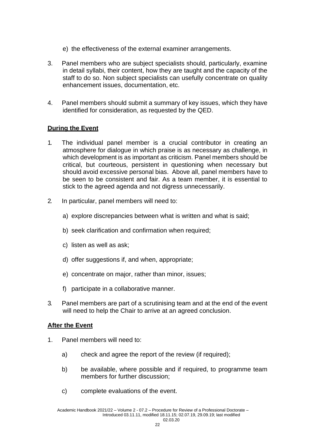- e) the effectiveness of the external examiner arrangements.
- 3. Panel members who are subject specialists should, particularly, examine in detail syllabi, their content, how they are taught and the capacity of the staff to do so. Non subject specialists can usefully concentrate on quality enhancement issues, documentation, etc.
- 4. Panel members should submit a summary of key issues, which they have identified for consideration, as requested by the QED.

## **During the Event**

- 1. The individual panel member is a crucial contributor in creating an atmosphere for dialogue in which praise is as necessary as challenge, in which development is as important as criticism. Panel members should be critical, but courteous, persistent in questioning when necessary but should avoid excessive personal bias. Above all, panel members have to be seen to be consistent and fair. As a team member, it is essential to stick to the agreed agenda and not digress unnecessarily.
- 2. In particular, panel members will need to:
	- a) explore discrepancies between what is written and what is said;
	- b) seek clarification and confirmation when required;
	- c) listen as well as ask;
	- d) offer suggestions if, and when, appropriate;
	- e) concentrate on major, rather than minor, issues;
	- f) participate in a collaborative manner.
- 3. Panel members are part of a scrutinising team and at the end of the event will need to help the Chair to arrive at an agreed conclusion.

#### **After the Event**

- 1. Panel members will need to:
	- a) check and agree the report of the review (if required);
	- b) be available, where possible and if required, to programme team members for further discussion;
	- c) complete evaluations of the event.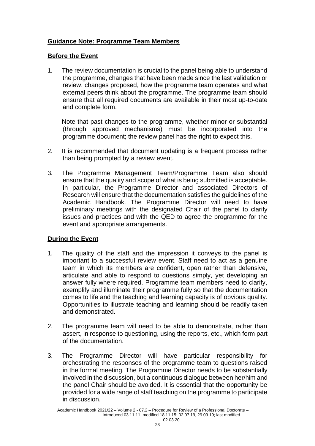## **Guidance Note: Programme Team Members**

## **Before the Event**

1. The review documentation is crucial to the panel being able to understand the programme, changes that have been made since the last validation or review, changes proposed, how the programme team operates and what external peers think about the programme. The programme team should ensure that all required documents are available in their most up-to-date and complete form.

Note that past changes to the programme, whether minor or substantial (through approved mechanisms) must be incorporated into the programme document; the review panel has the right to expect this.

- 2. It is recommended that document updating is a frequent process rather than being prompted by a review event.
- 3. The Programme Management Team/Programme Team also should ensure that the quality and scope of what is being submitted is acceptable. In particular, the Programme Director and associated Directors of Research will ensure that the documentation satisfies the guidelines of the Academic Handbook. The Programme Director will need to have preliminary meetings with the designated Chair of the panel to clarify issues and practices and with the QED to agree the programme for the event and appropriate arrangements.

## **During the Event**

- 1. The quality of the staff and the impression it conveys to the panel is important to a successful review event. Staff need to act as a genuine team in which its members are confident, open rather than defensive, articulate and able to respond to questions simply, yet developing an answer fully where required. Programme team members need to clarify, exemplify and illuminate their programme fully so that the documentation comes to life and the teaching and learning capacity is of obvious quality. Opportunities to illustrate teaching and learning should be readily taken and demonstrated.
- 2. The programme team will need to be able to demonstrate, rather than assert, in response to questioning, using the reports, etc., which form part of the documentation.
- 3. The Programme Director will have particular responsibility for orchestrating the responses of the programme team to questions raised in the formal meeting. The Programme Director needs to be substantially involved in the discussion, but a continuous dialogue between her/him and the panel Chair should be avoided. It is essential that the opportunity be provided for a wide range of staff teaching on the programme to participate in discussion.